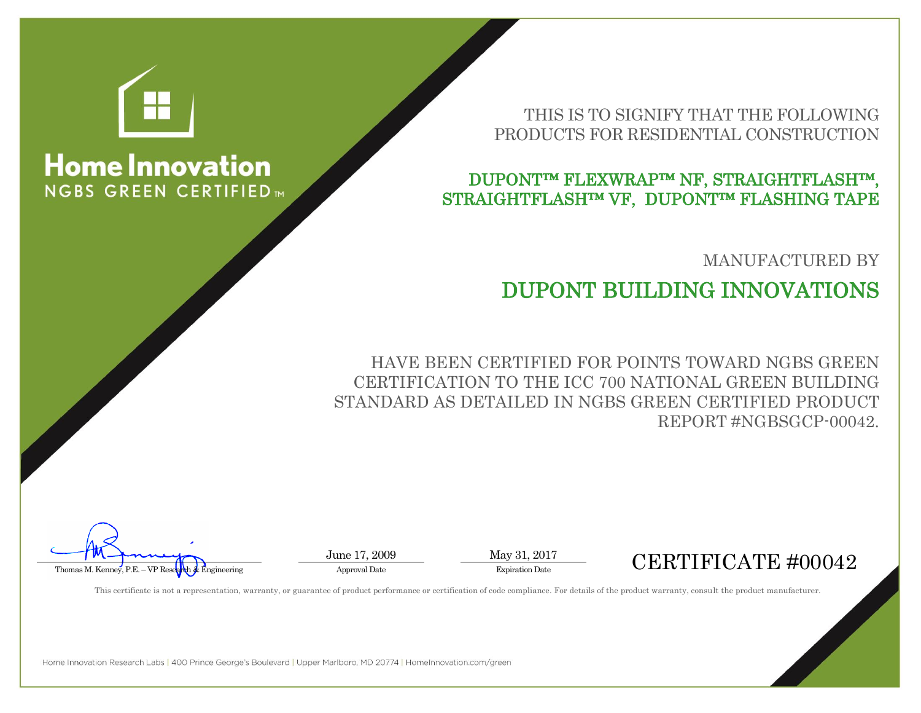

# **Home Innovation NGBS GREEN CERTIFIED**

### THIS IS TO SIGNIFY THAT THE FOLLOWING PRODUCTS FOR RESIDENTIAL CONSTRUCTION

### DUPONT™ FLEXWRAP™ NF, STRAIGHTFLASH™, STRAIGHTFLASH™ VF, DUPONT™ FLASHING TAPE

### MANUFACTURED BY

# DUPONT BUILDING INNOVATIONS

HAVE BEEN CERTIFIED FOR POINTS TOWARD NGBS GREEN CERTIFICATION TO THE ICC 700 NATIONAL GREEN BUILDING STANDARD AS DETAILED IN NGBS GREEN CERTIFIED PRODUCT REPORT #NGBSGCP-00042.

June 17, 2009 May 31, 2017



This certificate is not a representation, warranty, or guarantee of product performance or certification of code compliance. For details of the product warranty, consult the product manufacturer.

Home Innovation Research Labs | 400 Prince George's Boulevard | Upper Marlboro, MD 20774 | HomeInnovation.com/green